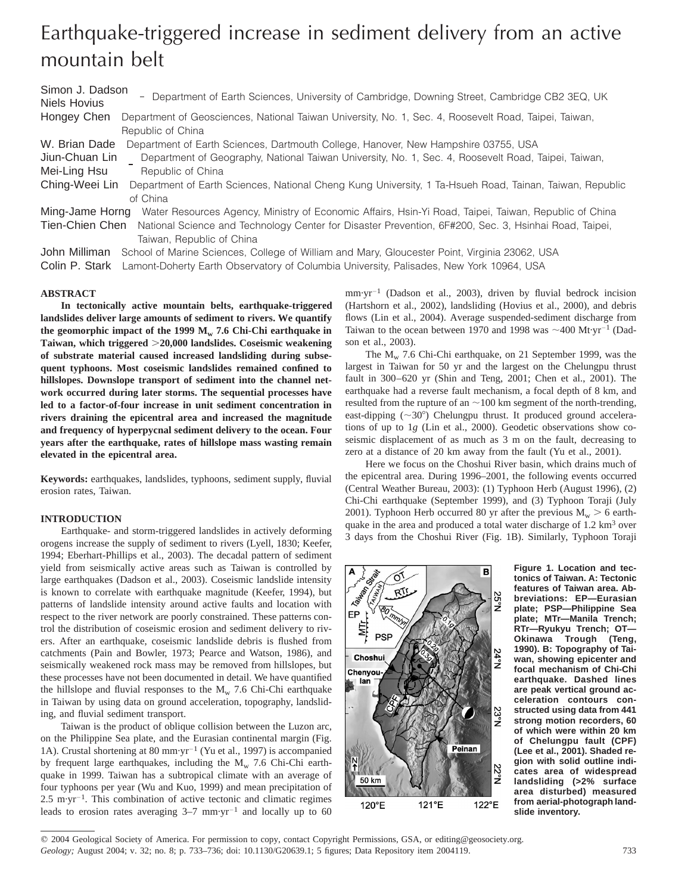# Earthquake-triggered increase in sediment delivery from an active mountain belt

Simon J. Dadson Niels Hovius  $\overline{\phantom{a}}$  $\overline{\phantom{a}}$  Department of Earth Sciences, University of Cambridge, Downing Street, Cambridge CB2 3EQ, UK Hongey Chen Department of Geosciences, National Taiwan University, No. 1, Sec. 4, Roosevelt Road, Taipei, Taiwan, Republic of China W. Brian Dade Department of Earth Sciences, Dartmouth College, Hanover, New Hampshire 03755, USA Jiun-Chuan Lin I Department of Geography, National Taiwan University, No. 1, Sec. 4, Roosevelt Road, Taipei, Taiwan,<br>Mei Ling Heu Mei-Ling Hsu J Republic of China Ching-Weei Lin Department of Earth Sciences, National Cheng Kung University, 1 Ta-Hsueh Road, Tainan, Taiwan, Republic of China Ming-Jame Horng Water Resources Agency, Ministry of Economic Affairs, Hsin-Yi Road, Taipei, Taiwan, Republic of China Tien-Chien Chen National Science and Technology Center for Disaster Prevention, 6F#200, Sec. 3, Hsinhai Road, Taipei, Taiwan, Republic of China

John Milliman School of Marine Sciences, College of William and Mary, Gloucester Point, Virginia 23062, USA

Colin P. Stark Lamont-Doherty Earth Observatory of Columbia University, Palisades, New York 10964, USA

# **ABSTRACT**

**In tectonically active mountain belts, earthquake-triggered landslides deliver large amounts of sediment to rivers. We quantify** the geomorphic impact of the 1999  $M_w$  7.6 Chi-Chi earthquake in **Taiwan, which triggered** .**20,000 landslides. Coseismic weakening of substrate material caused increased landsliding during subsequent typhoons. Most coseismic landslides remained confined to hillslopes. Downslope transport of sediment into the channel network occurred during later storms. The sequential processes have led to a factor-of-four increase in unit sediment concentration in rivers draining the epicentral area and increased the magnitude and frequency of hyperpycnal sediment delivery to the ocean. Four years after the earthquake, rates of hillslope mass wasting remain elevated in the epicentral area.**

**Keywords:** earthquakes, landslides, typhoons, sediment supply, fluvial erosion rates, Taiwan.

## **INTRODUCTION**

Earthquake- and storm-triggered landslides in actively deforming orogens increase the supply of sediment to rivers (Lyell, 1830; Keefer, 1994; Eberhart-Phillips et al., 2003). The decadal pattern of sediment yield from seismically active areas such as Taiwan is controlled by large earthquakes (Dadson et al., 2003). Coseismic landslide intensity is known to correlate with earthquake magnitude (Keefer, 1994), but patterns of landslide intensity around active faults and location with respect to the river network are poorly constrained. These patterns control the distribution of coseismic erosion and sediment delivery to rivers. After an earthquake, coseismic landslide debris is flushed from catchments (Pain and Bowler, 1973; Pearce and Watson, 1986), and seismically weakened rock mass may be removed from hillslopes, but these processes have not been documented in detail. We have quantified the hillslope and fluvial responses to the  $M_{\rm w}$  7.6 Chi-Chi earthquake in Taiwan by using data on ground acceleration, topography, landsliding, and fluvial sediment transport.

Taiwan is the product of oblique collision between the Luzon arc, on the Philippine Sea plate, and the Eurasian continental margin (Fig. 1A). Crustal shortening at 80 mm·yr<sup>-1</sup> (Yu et al., 1997) is accompanied by frequent large earthquakes, including the  $M_{\rm w}$  7.6 Chi-Chi earthquake in 1999. Taiwan has a subtropical climate with an average of four typhoons per year (Wu and Kuo, 1999) and mean precipitation of  $2.5 \text{ m} \cdot \text{yr}^{-1}$ . This combination of active tectonic and climatic regimes leads to erosion rates averaging  $3-7$  mm·yr<sup>-1</sup> and locally up to 60

 $mm·yr^{-1}$  (Dadson et al., 2003), driven by fluvial bedrock incision (Hartshorn et al., 2002), landsliding (Hovius et al., 2000), and debris flows (Lin et al., 2004). Average suspended-sediment discharge from Taiwan to the ocean between 1970 and 1998 was  $\sim$ 400 Mt·yr<sup>-1</sup> (Dadson et al., 2003).

The  $M_w$  7.6 Chi-Chi earthquake, on 21 September 1999, was the largest in Taiwan for 50 yr and the largest on the Chelungpu thrust fault in 300–620 yr (Shin and Teng, 2001; Chen et al., 2001). The earthquake had a reverse fault mechanism, a focal depth of 8 km, and resulted from the rupture of an  $\sim$ 100 km segment of the north-trending, east-dipping  $({\sim}30^{\circ})$  Chelungpu thrust. It produced ground accelerations of up to 1*g* (Lin et al., 2000). Geodetic observations show coseismic displacement of as much as 3 m on the fault, decreasing to zero at a distance of 20 km away from the fault (Yu et al., 2001).

Here we focus on the Choshui River basin, which drains much of the epicentral area. During 1996–2001, the following events occurred (Central Weather Bureau, 2003): (1) Typhoon Herb (August 1996), (2) Chi-Chi earthquake (September 1999), and (3) Typhoon Toraji (July 2001). Typhoon Herb occurred 80 yr after the previous  $M_w > 6$  earthquake in the area and produced a total water discharge of 1.2 km<sup>3</sup> over 3 days from the Choshui River (Fig. 1B). Similarly, Typhoon Toraji



**Figure 1. Location and tectonics of Taiwan. A: Tectonic features of Taiwan area. Abbreviations: EP—Eurasian plate; PSP—Philippine Sea plate; MTr—Manila Trench; RTr—Ryukyu Trench; OT— Okinawa Trough (Teng, 1990). B: Topography of Taiwan, showing epicenter and focal mechanism of Chi-Chi earthquake. Dashed lines are peak vertical ground acceleration contours constructed using data from 441 strong motion recorders, 60 of which were within 20 km of Chelungpu fault (CPF) (Lee et al., 2001). Shaded region with solid outline indicates area of widespread landsliding (>2% surface area disturbed) measured from aerial-photograph landslide inventory.**

 $©$  2004 Geological Society of America. For permission to copy, contact Copyright Permissions, GSA, or editing@geosociety.org. *Geology;* August 2004; v. 32; no. 8; p. 733–736; doi: 10.1130/G20639.1; 5 figures; Data Repository item 2004119. 733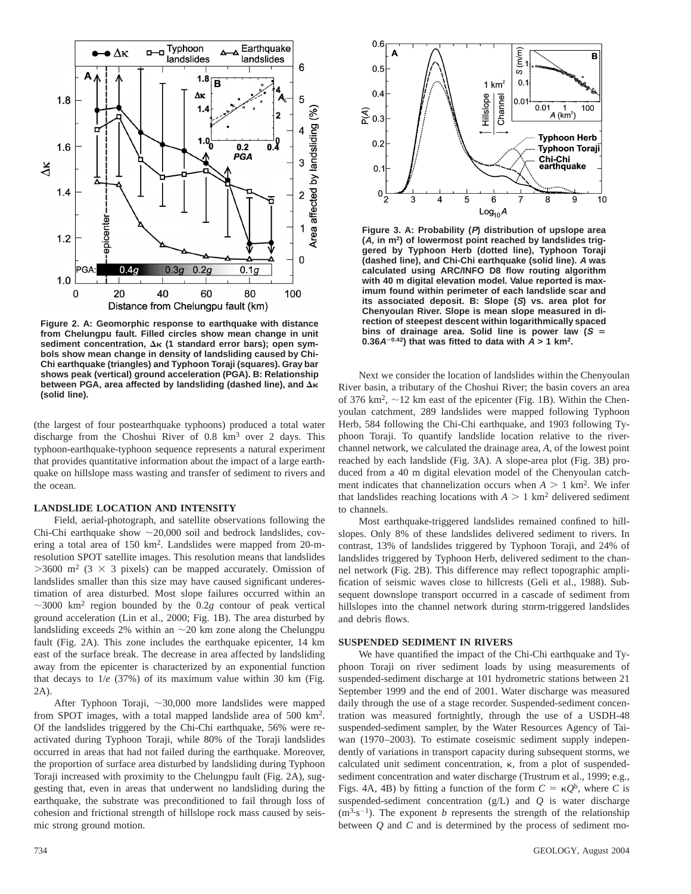

**Figure 2. A: Geomorphic response to earthquake with distance from Chelungpu fault. Filled circles show mean change in unit** sediment concentration, Δ<sub>K</sub> (1 standard error bars); open sym**bols show mean change in density of landsliding caused by Chi-Chi earthquake (triangles) and Typhoon Toraji (squares). Gray bar shows peak (vertical) ground acceleration (PGA). B: Relationship between PGA, area affected by landsliding (dashed line), and Δκ (solid line).**

(the largest of four postearthquake typhoons) produced a total water discharge from the Choshui River of 0.8 km3 over 2 days. This typhoon-earthquake-typhoon sequence represents a natural experiment that provides quantitative information about the impact of a large earthquake on hillslope mass wasting and transfer of sediment to rivers and the ocean.

## **LANDSLIDE LOCATION AND INTENSITY**

Field, aerial-photograph, and satellite observations following the Chi-Chi earthquake show  $\sim$  20,000 soil and bedrock landslides, covering a total area of 150 km2. Landslides were mapped from 20-mresolution SPOT satellite images. This resolution means that landslides  $>3600$  m<sup>2</sup> (3  $\times$  3 pixels) can be mapped accurately. Omission of landslides smaller than this size may have caused significant underestimation of area disturbed. Most slope failures occurred within an  $\sim$ 3000 km<sup>2</sup> region bounded by the 0.2*g* contour of peak vertical ground acceleration (Lin et al., 2000; Fig. 1B). The area disturbed by landsliding exceeds 2% within an  $\sim$  20 km zone along the Chelungpu fault (Fig. 2A). This zone includes the earthquake epicenter, 14 km east of the surface break. The decrease in area affected by landsliding away from the epicenter is characterized by an exponential function that decays to 1/*e* (37%) of its maximum value within 30 km (Fig. 2A).

After Typhoon Toraji,  $\sim$ 30,000 more landslides were mapped from SPOT images, with a total mapped landslide area of 500 km2. Of the landslides triggered by the Chi-Chi earthquake, 56% were reactivated during Typhoon Toraji, while 80% of the Toraji landslides occurred in areas that had not failed during the earthquake. Moreover, the proportion of surface area disturbed by landsliding during Typhoon Toraji increased with proximity to the Chelungpu fault (Fig. 2A), suggesting that, even in areas that underwent no landsliding during the earthquake, the substrate was preconditioned to fail through loss of cohesion and frictional strength of hillslope rock mass caused by seismic strong ground motion.



**Figure 3. A: Probability (P) distribution of upslope area (A, in m2) of lowermost point reached by landslides triggered by Typhoon Herb (dotted line), Typhoon Toraji (dashed line), and Chi-Chi earthquake (solid line). A was calculated using ARC/INFO D8 flow routing algorithm with 40 m digital elevation model. Value reported is maximum found within perimeter of each landslide scar and its associated deposit. B: Slope (S) vs. area plot for Chenyoulan River. Slope is mean slope measured in direction of steepest descent within logarithmically spaced** bins of drainage area. Solid line is power law  $(S =$  $0.36A^{-0.42}$ ) that was fitted to data with  $A > 1$  km<sup>2</sup>.

Next we consider the location of landslides within the Chenyoulan River basin, a tributary of the Choshui River; the basin covers an area of 376 km<sup>2</sup>,  $\sim$ 12 km east of the epicenter (Fig. 1B). Within the Chenyoulan catchment, 289 landslides were mapped following Typhoon Herb, 584 following the Chi-Chi earthquake, and 1903 following Typhoon Toraji. To quantify landslide location relative to the riverchannel network, we calculated the drainage area, *A*, of the lowest point reached by each landslide (Fig. 3A). A slope-area plot (Fig. 3B) produced from a 40 m digital elevation model of the Chenyoulan catchment indicates that channelization occurs when  $A > 1$  km<sup>2</sup>. We infer that landslides reaching locations with  $A > 1$  km<sup>2</sup> delivered sediment to channels.

Most earthquake-triggered landslides remained confined to hillslopes. Only 8% of these landslides delivered sediment to rivers. In contrast, 13% of landslides triggered by Typhoon Toraji, and 24% of landslides triggered by Typhoon Herb, delivered sediment to the channel network (Fig. 2B). This difference may reflect topographic amplification of seismic waves close to hillcrests (Geli et al., 1988). Subsequent downslope transport occurred in a cascade of sediment from hillslopes into the channel network during storm-triggered landslides and debris flows.

#### **SUSPENDED SEDIMENT IN RIVERS**

We have quantified the impact of the Chi-Chi earthquake and Typhoon Toraji on river sediment loads by using measurements of suspended-sediment discharge at 101 hydrometric stations between 21 September 1999 and the end of 2001. Water discharge was measured daily through the use of a stage recorder. Suspended-sediment concentration was measured fortnightly, through the use of a USDH-48 suspended-sediment sampler, by the Water Resources Agency of Taiwan (1970–2003). To estimate coseismic sediment supply independently of variations in transport capacity during subsequent storms, we calculated unit sediment concentration,  $\kappa$ , from a plot of suspendedsediment concentration and water discharge (Trustrum et al., 1999; e.g., Figs. 4A, 4B) by fitting a function of the form  $C = \kappa Q^{b}$ , where *C* is suspended-sediment concentration (g/L) and *Q* is water discharge  $(m<sup>3</sup>·s<sup>-1</sup>)$ . The exponent *b* represents the strength of the relationship between *Q* and *C* and is determined by the process of sediment mo-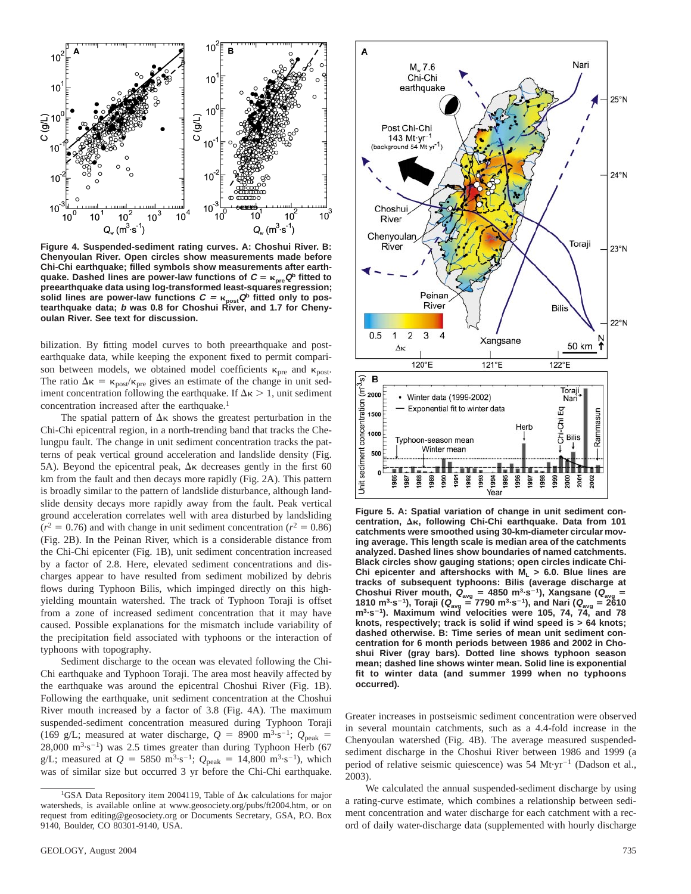

**Figure 4. Suspended-sediment rating curves. A: Choshui River. B: Chenyoulan River. Open circles show measurements made before Chi-Chi earthquake; filled symbols show measurements after earthquake.** Dashed lines are power-law functions of  $C = \kappa_{pre} Q^b$  fitted to **preearthquake data using log-transformed least-squares regression; solid lines are power-law functions <sup>C</sup>** <sup>5</sup> k**postQ<sup>b</sup> fitted only to pos-tearthquake data; b was 0.8 for Choshui River, and 1.7 for Chenyoulan River. See text for discussion.**

bilization. By fitting model curves to both preearthquake and postearthquake data, while keeping the exponent fixed to permit comparison between models, we obtained model coefficients  $\kappa_{pre}$  and  $\kappa_{post}$ . The ratio  $\Delta \kappa = \kappa_{\text{post}}/\kappa_{\text{pre}}$  gives an estimate of the change in unit sediment concentration following the earthquake. If  $\Delta \kappa > 1$ , unit sediment concentration increased after the earthquake.<sup>1</sup>

The spatial pattern of  $\Delta \kappa$  shows the greatest perturbation in the Chi-Chi epicentral region, in a north-trending band that tracks the Chelungpu fault. The change in unit sediment concentration tracks the patterns of peak vertical ground acceleration and landslide density (Fig. 5A). Beyond the epicentral peak,  $\Delta \kappa$  decreases gently in the first 60 km from the fault and then decays more rapidly (Fig. 2A). This pattern is broadly similar to the pattern of landslide disturbance, although landslide density decays more rapidly away from the fault. Peak vertical ground acceleration correlates well with area disturbed by landsliding  $(r^2 = 0.76)$  and with change in unit sediment concentration  $(r^2 = 0.86)$ (Fig. 2B). In the Peinan River, which is a considerable distance from the Chi-Chi epicenter (Fig. 1B), unit sediment concentration increased by a factor of 2.8. Here, elevated sediment concentrations and discharges appear to have resulted from sediment mobilized by debris flows during Typhoon Bilis, which impinged directly on this highyielding mountain watershed. The track of Typhoon Toraji is offset from a zone of increased sediment concentration that it may have caused. Possible explanations for the mismatch include variability of the precipitation field associated with typhoons or the interaction of typhoons with topography.

Sediment discharge to the ocean was elevated following the Chi-Chi earthquake and Typhoon Toraji. The area most heavily affected by the earthquake was around the epicentral Choshui River (Fig. 1B). Following the earthquake, unit sediment concentration at the Choshui River mouth increased by a factor of 3.8 (Fig. 4A). The maximum suspended-sediment concentration measured during Typhoon Toraji (169 g/L; measured at water discharge,  $Q = 8900 \text{ m}^3 \cdot \text{s}^{-1}$ ;  $Q_{\text{peak}} =$  $28,000 \text{ m}^3 \cdot \text{s}^{-1}$ ) was 2.5 times greater than during Typhoon Herb (67 g/L; measured at  $Q = 5850 \text{ m}^3 \cdot \text{s}^{-1}$ ;  $Q_{\text{peak}} = 14,800 \text{ m}^3 \cdot \text{s}^{-1}$ ), which was of similar size but occurred 3 yr before the Chi-Chi earthquake.



**Figure 5. A: Spatial variation of change in unit sediment con**centration, Δ<sub>K</sub>, following Chi-Chi earthquake. Data from 101 **catchments were smoothed using 30-km-diameter circular moving average. This length scale is median area of the catchments analyzed. Dashed lines show boundaries of named catchments. Black circles show gauging stations; open circles indicate Chi-**Chi epicenter and aftershocks with  $M_L > 6.0$ . Blue lines are **tracks of subsequent typhoons: Bilis (average discharge at Choshui River mouth, <sup>Q</sup>avg** 5 **4850 m3·s**2**1), Xangsane (Qavg** 5 **1810 m3·s**2**1), Toraji (Qavg** 5 **7790 m3·s**2**1), and Nari (Qavg** 5 **2610 m3·s**2**1). Maximum wind velocities were 105, 74, 74, and 78 knots, respectively; track is solid if wind speed is > 64 knots; dashed otherwise. B: Time series of mean unit sediment concentration for 6 month periods between 1986 and 2002 in Choshui River (gray bars). Dotted line shows typhoon season mean; dashed line shows winter mean. Solid line is exponential fit to winter data (and summer 1999 when no typhoons occurred).**

Greater increases in postseismic sediment concentration were observed in several mountain catchments, such as a 4.4-fold increase in the Chenyoulan watershed (Fig. 4B). The average measured suspendedsediment discharge in the Choshui River between 1986 and 1999 (a period of relative seismic quiescence) was 54 Mt·yr<sup>-1</sup> (Dadson et al., 2003).

We calculated the annual suspended-sediment discharge by using a rating-curve estimate, which combines a relationship between sediment concentration and water discharge for each catchment with a record of daily water-discharge data (supplemented with hourly discharge

<sup>1</sup>GSA Data Repository item 2004119, Table of  $\Delta \kappa$  calculations for major watersheds, is available online at www.geosociety.org/pubs/ft2004.htm, or on request from editing@geosociety.org or Documents Secretary, GSA, P.O. Box 9140, Boulder, CO 80301-9140, USA.